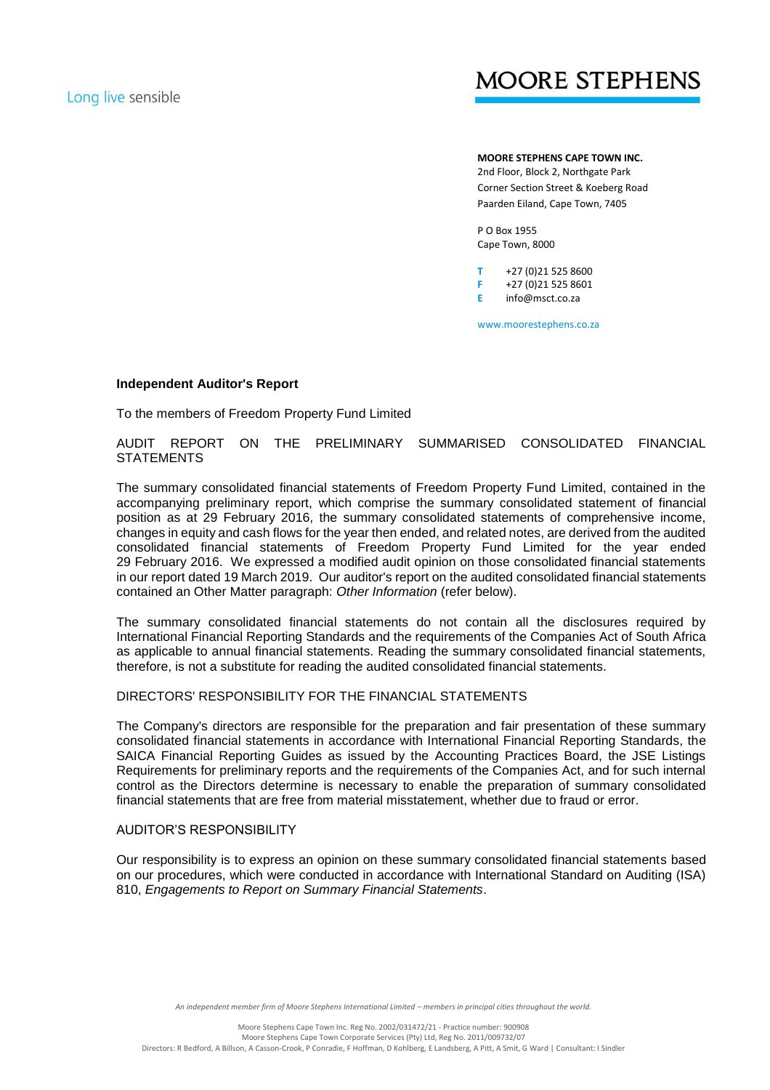# **MOORE STEPHENS**

**MOORE STEPHENS CAPE TOWN INC.** 2nd Floor, Block 2, Northgate Park Corner Section Street & Koeberg Road Paarden Eiland, Cape Town, 7405

P O Box 1955 Cape Town, 8000

**T** +27 (0)21 525 8600 **F** +27 (0)21 525 8601 **E** info@msct.co.za

www.moorestephens.co.za

### **Independent Auditor's Report**

To the members of Freedom Property Fund Limited

AUDIT REPORT ON THE PRELIMINARY SUMMARISED CONSOLIDATED FINANCIAL **STATEMENTS** 

The summary consolidated financial statements of Freedom Property Fund Limited, contained in the accompanying preliminary report, which comprise the summary consolidated statement of financial position as at 29 February 2016, the summary consolidated statements of comprehensive income, changes in equity and cash flows for the year then ended, and related notes, are derived from the audited consolidated financial statements of Freedom Property Fund Limited for the year ended 29 February 2016. We expressed a modified audit opinion on those consolidated financial statements in our report dated 19 March 2019. Our auditor's report on the audited consolidated financial statements contained an Other Matter paragraph: *Other Information* (refer below).

The summary consolidated financial statements do not contain all the disclosures required by International Financial Reporting Standards and the requirements of the Companies Act of South Africa as applicable to annual financial statements. Reading the summary consolidated financial statements, therefore, is not a substitute for reading the audited consolidated financial statements.

## DIRECTORS' RESPONSIBILITY FOR THE FINANCIAL STATEMENTS

The Company's directors are responsible for the preparation and fair presentation of these summary consolidated financial statements in accordance with International Financial Reporting Standards, the SAICA Financial Reporting Guides as issued by the Accounting Practices Board, the JSE Listings Requirements for preliminary reports and the requirements of the Companies Act, and for such internal control as the Directors determine is necessary to enable the preparation of summary consolidated financial statements that are free from material misstatement, whether due to fraud or error.

#### AUDITOR'S RESPONSIBILITY

Our responsibility is to express an opinion on these summary consolidated financial statements based on our procedures, which were conducted in accordance with International Standard on Auditing (ISA) 810, *Engagements to Report on Summary Financial Statements*.

An independent member firm of Moore Stephens International Limited – members in principal cities throughout the world.